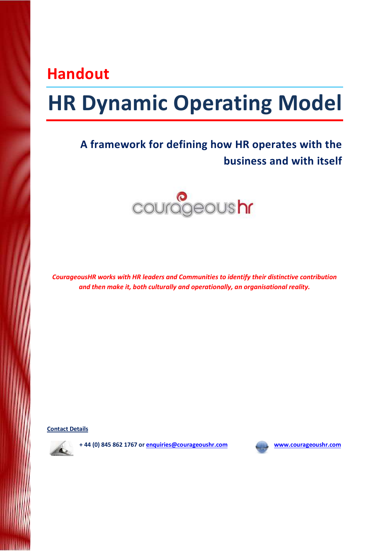# Handout

# HR Dynamic Operating Model

# A framework for defining how HR operates with the business and with itself



CourageousHR works with HR leaders and Communities to identify their distinctive contribution and then make it, both culturally and operationally, an organisational reality.

Contact Details



+ 44 (0) 845 862 1767 or enquiries@courageoushr.com www.courageoushr.com

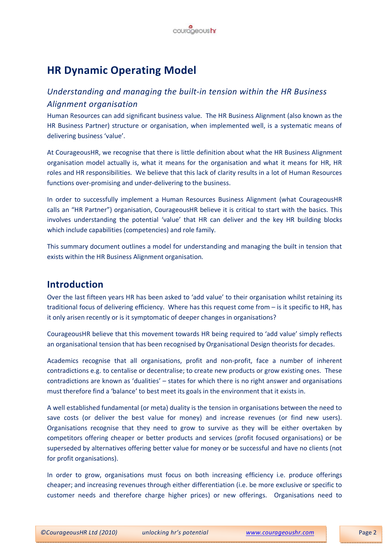

# HR Dynamic Operating Model

### Understanding and managing the built-in tension within the HR Business Alignment organisation

Human Resources can add significant business value. The HR Business Alignment (also known as the HR Business Partner) structure or organisation, when implemented well, is a systematic means of delivering business 'value'.

At CourageousHR, we recognise that there is little definition about what the HR Business Alignment organisation model actually is, what it means for the organisation and what it means for HR, HR roles and HR responsibilities. We believe that this lack of clarity results in a lot of Human Resources functions over-promising and under-delivering to the business.

In order to successfully implement a Human Resources Business Alignment (what CourageousHR calls an "HR Partner") organisation, CourageousHR believe it is critical to start with the basics. This involves understanding the potential 'value' that HR can deliver and the key HR building blocks which include capabilities (competencies) and role family.

This summary document outlines a model for understanding and managing the built in tension that exists within the HR Business Alignment organisation.

#### Introduction

Over the last fifteen years HR has been asked to 'add value' to their organisation whilst retaining its traditional focus of delivering efficiency. Where has this request come from – is it specific to HR, has it only arisen recently or is it symptomatic of deeper changes in organisations?

CourageousHR believe that this movement towards HR being required to 'add value' simply reflects an organisational tension that has been recognised by Organisational Design theorists for decades.

Academics recognise that all organisations, profit and non-profit, face a number of inherent contradictions e.g. to centalise or decentralise; to create new products or grow existing ones. These contradictions are known as 'dualities' – states for which there is no right answer and organisations must therefore find a 'balance' to best meet its goals in the environment that it exists in.

A well established fundamental (or meta) duality is the tension in organisations between the need to save costs (or deliver the best value for money) and increase revenues (or find new users). Organisations recognise that they need to grow to survive as they will be either overtaken by competitors offering cheaper or better products and services (profit focused organisations) or be superseded by alternatives offering better value for money or be successful and have no clients (not for profit organisations).

In order to grow, organisations must focus on both increasing efficiency i.e. produce offerings cheaper; and increasing revenues through either differentiation (i.e. be more exclusive or specific to customer needs and therefore charge higher prices) or new offerings. Organisations need to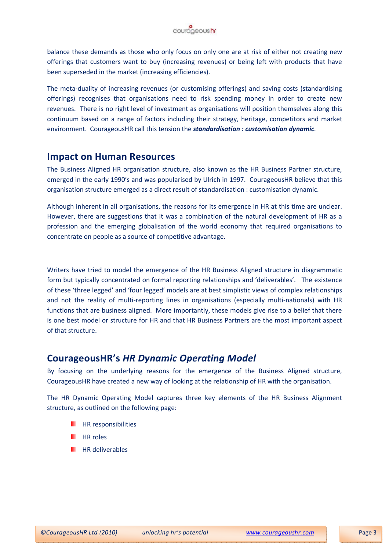balance these demands as those who only focus on only one are at risk of either not creating new offerings that customers want to buy (increasing revenues) or being left with products that have been superseded in the market (increasing efficiencies).

The meta-duality of increasing revenues (or customising offerings) and saving costs (standardising offerings) recognises that organisations need to risk spending money in order to create new revenues. There is no right level of investment as organisations will position themselves along this continuum based on a range of factors including their strategy, heritage, competitors and market environment. CourageousHR call this tension the *standardisation : customisation dynamic*.

#### Impact on Human Resources

The Business Aligned HR organisation structure, also known as the HR Business Partner structure, emerged in the early 1990's and was popularised by Ulrich in 1997. CourageousHR believe that this organisation structure emerged as a direct result of standardisation : customisation dynamic.

Although inherent in all organisations, the reasons for its emergence in HR at this time are unclear. However, there are suggestions that it was a combination of the natural development of HR as a profession and the emerging globalisation of the world economy that required organisations to concentrate on people as a source of competitive advantage.

Writers have tried to model the emergence of the HR Business Aligned structure in diagrammatic form but typically concentrated on formal reporting relationships and 'deliverables'. The existence of these 'three legged' and 'four legged' models are at best simplistic views of complex relationships and not the reality of multi-reporting lines in organisations (especially multi-nationals) with HR functions that are business aligned. More importantly, these models give rise to a belief that there is one best model or structure for HR and that HR Business Partners are the most important aspect of that structure.

#### CourageousHR's HR Dynamic Operating Model

By focusing on the underlying reasons for the emergence of the Business Aligned structure, CourageousHR have created a new way of looking at the relationship of HR with the organisation.

The HR Dynamic Operating Model captures three key elements of the HR Business Alignment structure, as outlined on the following page:

- HR responsibilities
- HR roles
- HR deliverables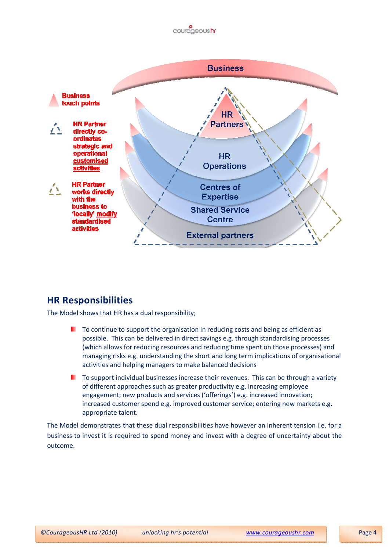



## HR Responsibilities

The Model shows that HR has a dual responsibility;

- $\blacksquare$  To continue to support the organisation in reducing costs and being as efficient as possible. This can be delivered in direct savings e.g. through standardising processes (which allows for reducing resources and reducing time spent on those processes) and managing risks e.g. understanding the short and long term implications of organisational activities and helping managers to make balanced decisions
- $\blacksquare$  To support individual businesses increase their revenues. This can be through a variety of different approaches such as greater productivity e.g. increasing employee engagement; new products and services ('offerings') e.g. increased innovation; increased customer spend e.g. improved customer service; entering new markets e.g. appropriate talent.

The Model demonstrates that these dual responsibilities have however an inherent tension i.e. for a business to invest it is required to spend money and invest with a degree of uncertainty about the outcome.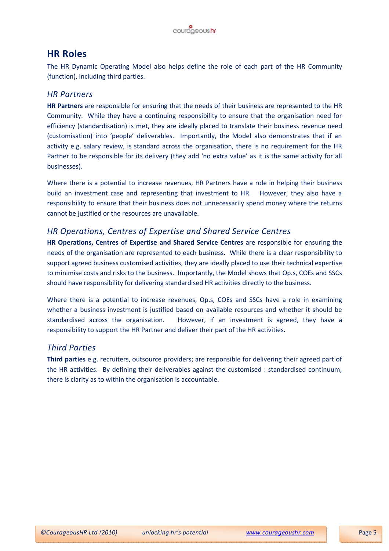

#### HR Roles

The HR Dynamic Operating Model also helps define the role of each part of the HR Community (function), including third parties.

#### HR Partners

HR Partners are responsible for ensuring that the needs of their business are represented to the HR Community. While they have a continuing responsibility to ensure that the organisation need for efficiency (standardisation) is met, they are ideally placed to translate their business revenue need (customisation) into 'people' deliverables. Importantly, the Model also demonstrates that if an activity e.g. salary review, is standard across the organisation, there is no requirement for the HR Partner to be responsible for its delivery (they add 'no extra value' as it is the same activity for all businesses).

Where there is a potential to increase revenues, HR Partners have a role in helping their business build an investment case and representing that investment to HR. However, they also have a responsibility to ensure that their business does not unnecessarily spend money where the returns cannot be justified or the resources are unavailable.

#### HR Operations, Centres of Expertise and Shared Service Centres

HR Operations, Centres of Expertise and Shared Service Centres are responsible for ensuring the needs of the organisation are represented to each business. While there is a clear responsibility to support agreed business customised activities, they are ideally placed to use their technical expertise to minimise costs and risks to the business. Importantly, the Model shows that Op.s, COEs and SSCs should have responsibility for delivering standardised HR activities directly to the business.

Where there is a potential to increase revenues, Op.s, COEs and SSCs have a role in examining whether a business investment is justified based on available resources and whether it should be standardised across the organisation. However, if an investment is agreed, they have a responsibility to support the HR Partner and deliver their part of the HR activities.

#### Third Parties

Third parties e.g. recruiters, outsource providers; are responsible for delivering their agreed part of the HR activities. By defining their deliverables against the customised : standardised continuum, there is clarity as to within the organisation is accountable.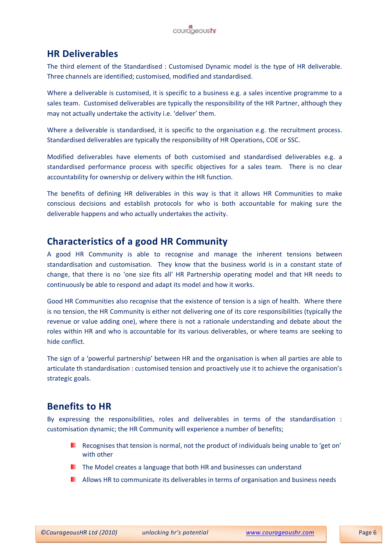

### HR Deliverables

The third element of the Standardised : Customised Dynamic model is the type of HR deliverable. Three channels are identified; customised, modified and standardised.

Where a deliverable is customised, it is specific to a business e.g. a sales incentive programme to a sales team. Customised deliverables are typically the responsibility of the HR Partner, although they may not actually undertake the activity i.e. 'deliver' them.

Where a deliverable is standardised, it is specific to the organisation e.g. the recruitment process. Standardised deliverables are typically the responsibility of HR Operations, COE or SSC.

Modified deliverables have elements of both customised and standardised deliverables e.g. a standardised performance process with specific objectives for a sales team. There is no clear accountability for ownership or delivery within the HR function.

The benefits of defining HR deliverables in this way is that it allows HR Communities to make conscious decisions and establish protocols for who is both accountable for making sure the deliverable happens and who actually undertakes the activity.

## Characteristics of a good HR Community

A good HR Community is able to recognise and manage the inherent tensions between standardisation and customisation. They know that the business world is in a constant state of change, that there is no 'one size fits all' HR Partnership operating model and that HR needs to continuously be able to respond and adapt its model and how it works.

Good HR Communities also recognise that the existence of tension is a sign of health. Where there is no tension, the HR Community is either not delivering one of its core responsibilities (typically the revenue or value adding one), where there is not a rationale understanding and debate about the roles within HR and who is accountable for its various deliverables, or where teams are seeking to hide conflict.

The sign of a 'powerful partnership' between HR and the organisation is when all parties are able to articulate th standardisation : customised tension and proactively use it to achieve the organisation's strategic goals.

## Benefits to HR

By expressing the responsibilities, roles and deliverables in terms of the standardisation : customisation dynamic; the HR Community will experience a number of benefits;

- **Recognises that tension is normal, not the product of individuals being unable to 'get on'** with other
- **The Model creates a language that both HR and businesses can understand**
- **Allows HR to communicate its deliverables in terms of organisation and business needs**